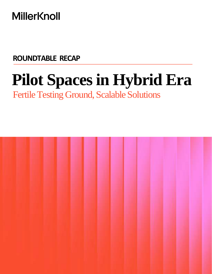# **MillerKnoll**

**ROUNDTABLE RECAP**

# **Pilot Spaces in Hybrid Era**

Fertile Testing Ground, Scalable Solutions

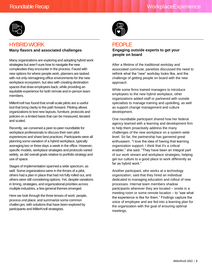

# HYBRID WORK **Many flavors and associated challenges**

Many organizations are exploring and adopting hybrid work strategies but aren't sure how to navigate the new complexities they encounter in the process. Faced with new options for where people work, planners are tasked with not only reimagining office environments for the new workplace ecosystem, but also with creating destination spaces that draw employees back, while providing an equitable experience for both remote and in-person team members.

MillerKnoll has found that small-scale pilots are a useful tool that bring clarity to the path forward. Piloting allows organizations to test new layouts, furniture, protocols and policies on a limited basis that can be measured, iterated and scaled.

Recently, we convened a peer-to-peer roundtable for workplace professionals to discuss their own pilot experiences and share best practices. Participants were all planning some variation of a hybrid workplace, typically averaging two or three days a week in the office. However, specific models, workplace strategies and protocols varied widely, as did overall goals relative to portfolio strategy and use of space.

Stages of implementation spanned a wide spectrum, as well. Some organizations were in the throes of a pilot, others had a plan in place that had not fully rolled out, and others were still considering options. Yet, despite variations in timing, strategies, and organizational priorities across multiple industries, a few general themes emerged.

Here we look through the three lenses of work: people, process and place, and summarize some common challenges, with solutions that have been explored by participants and MillerKnoll strategists.



# **PEOPLE**

#### **Engaging outside experts to get your people on board**

After a lifetime of the traditional workday and associated commute, panelists discussed the need to rethink what the "new" workday looks like, and the challenge of getting people on board with the new approach.

While some firms trained managers to introduce employees to the new hybrid workplace, other organizations added staff or partnered with outside specialists to manage training and upskilling, as well as support change management and culture development.

One roundtable participant shared how her federal agency teamed with a learning and development firm to help them proactively address the many challenges of the new workplace on a system-wide level. So far, the partnership has garnered great enthusiasm. "I love the idea of having that learning organization support. I think that it's a critical enabler," she said. "They have been an integral part of our work stream and workplace strategies, helping get our culture to a good place to work differently as far as hybrid work."

Another participant, who works at a technology organization, said that they hired an individual dedicated to managing education and rollout of new processes. Internal team members shadow participants wherever they are located – onsite in a meeting room or some remote location – to "see what the experience is like for them." Findings capture the voice of employee and are fed into a learning plan for the organization with the goal of ensuring optimal meetings.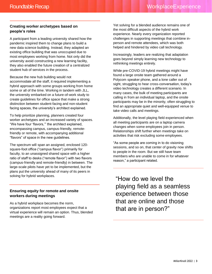# **Creating worker archetypes based on people's roles**

A participant from a leading university shared how the pandemic inspired them to change plans to build a new data science building. Instead, they adapted an existing office building that was unoccupied due to most employees working from home. Not only did the university avoid constructing a new learning facility, they also enabled the future creation of a centralized student hub of services in the process.

Because the new hub building would not accommodate all the staff, it required implementing a hybrid approach with some groups working from home some or all of the time. Working in tandem with JLL, the university embarked on a future-of-work study to create guidelines for office space that make a strong distinction between student-facing and non-student facing spaces, the university's architect explained.

To help prioritize planning, planners created four worker archetypes and an increased variety of spaces. "We have four 'flavors,'" the architect explained, encompassing campus, campus-friendly, remotefriendly or remote, with accompanying additional "flavors" of space in the new guidelines.

The spectrum will span an assigned, enclosed 120 square-foot office ("campus flavor") primarily for faculty, to an unassigned shared space with a higher ratio of staff to desks ("remote flavor") with two flavors (campus-friendly and remote-friendly) in between. The large-scale pilots have yet to be implemented, but the plans put the university ahead of many of its peers in solving for hybrid workplaces.

# **Ensuring equity for remote and onsite workers during meetings**

As a hybrid workplace becomes the norm, organizations report most employees expect that a virtual experience will remain an option. Thus, blended meetings are a reality going forward.

Yet solving for a blended audience remains one of the most difficult aspects of the hybrid work experience. Nearly every organization reported challenges in supporting meetings that combine inperson and remote attendees, which was both helped and hindered by video call technology.

Increasingly, leaders are realizing that adaptation goes beyond simply learning new technology to rethinking meetings entirely.

While pre-COVID-19 hybrid meetings might have found a large onsite team gathered around a Polycom speaker phone, and a lone caller out of sight, struggling to hear cross-conversation, today's video technology creates a different scenario. In many cases, the bulk of meeting participants are calling in from an individual laptop, and the onsite participants may be in the minority, often struggling to find an appropriate quiet and well-equipped venue to take video calls and meetings.

Additionally, the level playing field experienced when all meeting participants are on a laptop camera changes when some employees join in person. Relationships shift further when meetings take on activities that risk excluding some employees.

"As some people are coming in to do visioning sessions, and so on, that center of gravity now shifts to people in the room. But we still have team members who are unable to come in for whatever reason," a participant related.

"How do we level the playing field as a seamless experience between those that are online and those that are in person?"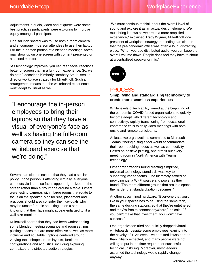Adjustments in audio, video and etiquette were some best practices participants were exploring to improve equity among all participants.

One solution shared was to use both a room camera and encourage in-person attendees to use their laptop. For the in-person portion of a blended meetings, faces may show up on one screen with content presented on a second monitor.

"As technology improves, you can read facial reactions better onscreen than in a full-room experience. So, we do both," described Kimberly Bombery Smith, senior director workplace strategy for MillerKnoll. Such an arrangement means that the whiteboard experience must adapt to virtual as well.

"I encourage the in-person employees to bring their laptops so that they have a visual of everyone's face as well as having the full-room camera so they can see the whiteboard exercise that we're doing."

Several participants echoed that they had a similar policy. If one person is attending virtually, everyone connects via laptop so faces appear right-sized on the screen rather than a tiny image around a table. Others were testing cameras within large rooms that rotate to focus on the speaker. Monitor size, placement and practices should also consider the individuals who may be uncomfortable speaking up on a screen, knowing that their face might appear enlarged to fit a wall-size monitor.

MillerKnoll shared that they had been workshopping some blended meeting scenarios and room settings, piloting spaces that are more effective as well as more inclusive and equitable. Options centered around varying table shapes, room layouts, furniture configurations and acoustics, including exploring centralized or distributed audio strategies.

"We must continue to think about the overall level of sound and explore it as an actual design element. We must bring it down as we are in a more amplified experience," explained Tracy Wymer, MillerKnoll vice president of workplace strategy, reminding participants that the pre-pandemic office was often a loud, distracting place. "When you use distributed audio, you can keep the overall volume down. People don't feel they have to shout at a centralized speaker or mic."



# **PROCESS**

#### **Simplifying and standardizing technology to create more seamless experiences**

While levels of tech agility varied at the beginning of the pandemic, COVID forced organizations to quickly become adept with different technology and connectivity, rapidly transitioning from occasional conference calls to daily video meetings with both onsite and remote participants.

At least two organizations committed to Microsoft Teams, finding a single tool would accommodate their room booking needs as well as connectivity. Based on positive piloting, one firm fit out every meeting room in North America with Teams technology.

Other organizations found creating simplified, universal technology standards was key to supporting varied teams. One ultimately settled on providing just a Wi-Fi source and power as they found, "The more different groups that are in a space, the harder that standardization becomes."

Another streamlined hardware. "Everyone that you'd like in your spaces has to be using the same tech, the same docking stations, so that they're untethered, and they're free to connect anywhere," he said. "If you can't make that investment, you won't have success."

One organization tried and quickly dropped virtual whiteboards, despite some employees leaning into the novelty of it. An executive admitted it was harder than initially expected, and many people were not willing to put in the time required for successful technical upskilling. Moreover, most leaders assumed the technology would rapidly change, anyway.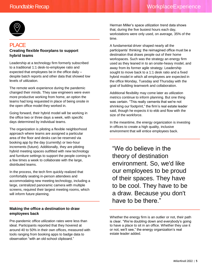

# **PLACE**

### **Creating flexible floorplans to support hybrid teams**

Leadership at a technology firm formerly subscribed to a traditional 1:1 desk-to-employee ratio and expected that employees be in the office daily – despite batch reports and other data that showed low levels of utilization.

The remote work experience during the pandemic changed their minds. They saw engineers were even more productive working from home, an option the teams had long requested in place of being onsite in the open office model they worked in.

Going forward, their hybrid model will be working in the office two or three days a week, with specific days determined by individual teams.

The organization is piloting a flexible neighborhood approach where teams are assigned a particular area of the floor and desks can be reserved via booking app by the day (currently) or two-hour increments (future). Additionally, they are piloting hybrid meeting spaces outfitted with new technology and furniture settings to support the people coming in a few times a week to collaborate with the large, distributed teams.

In the process, the tech firm quickly realized that comfortably seating in-person attendees and accommodating new meeting technology, including a large, centralized panoramic camera with multiple screens, required their largest meeting rooms, which will inform future planning.

## **Making the office a destination to draw employees back**

Pre-pandemic office utilization rates were less than ideal. Participants reported that they hovered at around 40 to 50% in their own offices, measured with tools ranging from booking apps to badge data to observation "with an old-school clipboard."

Herman Miller's space utilization trend data shows that, during the five busiest hours each day, workstations were only used, on average, 35% of the time.

A fundamental driver shaped nearly all the participants' thinking: the reimagined office must be a destination that draws people out of their home workspaces. Such was the strategy an energy firm used as they leaned in to an onsite-heavy model, and away from its former agile strategy. Leadership sought to move back to a 1:1 desk ratio and a fixed hybrid model in which all employees are expected in the office Monday, Tuesday and Thursday with the goal of building teamwork and collaboration.

Additional flexibility may come later as utilization metrics continue to inform planning. But one thing was certain. "This really cements that we're not shrinking our footprint," the firm's real estate leader said, though he expects it to ebb and flow with the size of the workforce.

In the meantime, the energy organization is investing in offices to create a high quality, inclusive environment that will entice employees back.

"We do believe in the theory of destination environment. So, we'd like our employees to be proud of their spaces. They have to be cool. They have to be a draw. Because you don't have to be there."

Whether the energy firm is an outlier or not, their path is clear. "We're doubling down and everybody's going to have a place to sit in an office. Whether they use it or not, we'll see," the energy organization's real estate leader added.